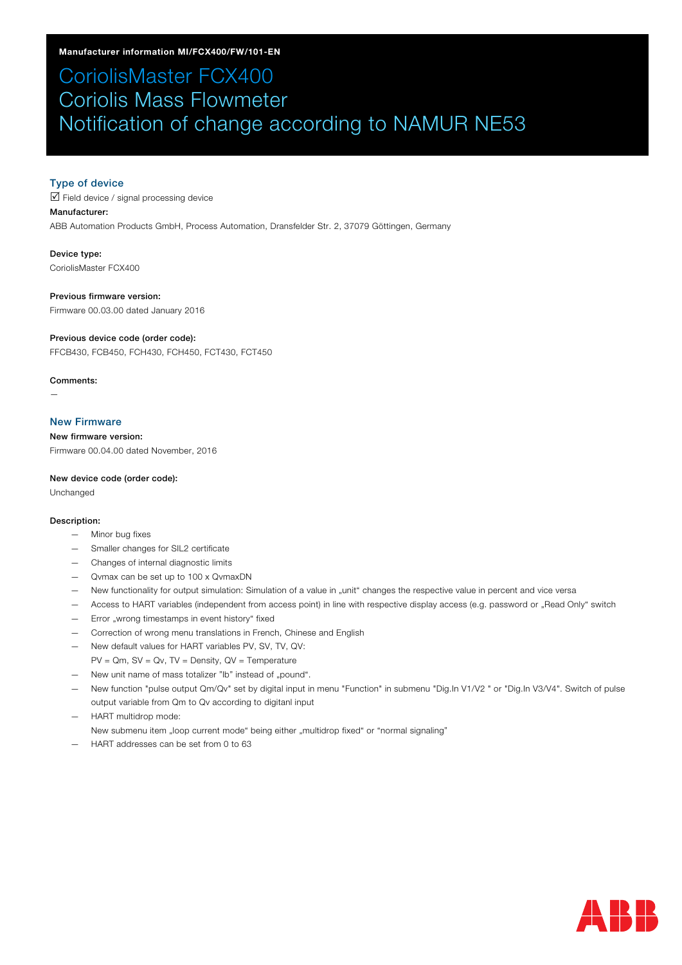# CoriolisMaster FCX400 Coriolis Mass Flowmeter Notification of change according to NAMUR NE53

## Type of device

 $\overrightarrow{v}$  Field device / signal processing device

### Manufacturer:

ABB Automation Products GmbH, Process Automation, Dransfelder Str. 2, 37079 Göttingen, Germany

Device type: CoriolisMaster FCX400

Previous firmware version: Firmware 00.03.00 dated January 2016

#### Previous device code (order code):

FFCB430, FCB450, FCH430, FCH450, FCT430, FCT450

#### Comments:

—

## New Firmware

New firmware version: Firmware 00.04.00 dated November, 2016

#### New device code (order code):

Unchanged

#### Description:

- Minor bug fixes
- Smaller changes for SIL2 certificate
- Changes of internal diagnostic limits
- Qvmax can be set up to 100 x QvmaxDN
- New functionality for output simulation: Simulation of a value in "unit" changes the respective value in percent and vice versa
- Access to HART variables (independent from access point) in line with respective display access (e.g. password or "Read Only" switch
- Error "wrong timestamps in event history" fixed
- Correction of wrong menu translations in French, Chinese and English
- New default values for HART variables PV, SV, TV, QV:
- $PV = Qm$ ,  $SV = Qv$ ,  $TV = Density$ ,  $QV = Temperature$
- New unit name of mass totalizer "lb" instead of "pound".
- New function "pulse output Qm/Qv" set by digital input in menu "Function" in submenu "Dig.In V1/V2 " or "Dig.In V3/V4". Switch of pulse output variable from Qm to Qv according to digitanl input
- HART multidrop mode:

New submenu item "loop current mode" being either "multidrop fixed" or "normal signaling"

— HART addresses can be set from 0 to 63